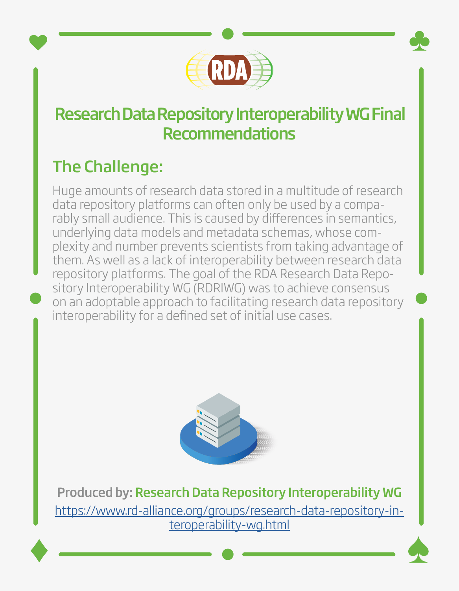

## Research Data Repository Interoperability WG Final Recommendations

## The Challenge:

Huge amounts of research data stored in a multitude of research data repository platforms can often only be used by a comparably small audience. This is caused by differences in semantics, underlying data models and metadata schemas, whose complexity and number prevents scientists from taking advantage of them. As well as a lack of interoperability between research data repository platforms. The goal of the RDA Research Data Repository Interoperability WG (RDRIWG) was to achieve consensus on an adoptable approach to facilitating research data repository interoperability for a defined set of initial use cases.



Produced by: Research Data Repository Interoperability WG [https://www.rd-alliance.org/groups/research-data-repository-in](https://www.rd-alliance.org/groups/research-data-repository-interoperability-wg.html)[teroperability-wg.html](https://www.rd-alliance.org/groups/research-data-repository-interoperability-wg.html)